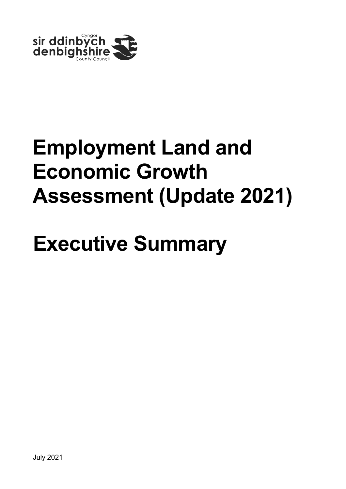

# **Employment Land and Economic Growth Assessment (Update 2021)**

# **Executive Summary**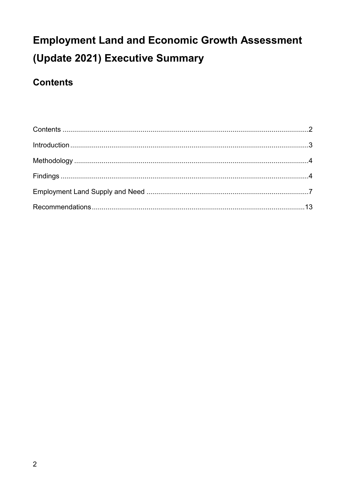#### <span id="page-1-0"></span>**Contents**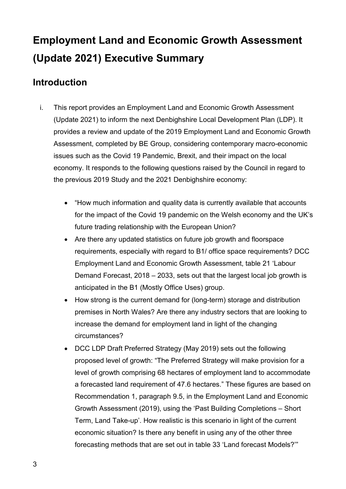#### <span id="page-2-0"></span>**Introduction**

- i. This report provides an Employment Land and Economic Growth Assessment (Update 2021) to inform the next Denbighshire Local Development Plan (LDP). It provides a review and update of the 2019 Employment Land and Economic Growth Assessment, completed by BE Group, considering contemporary macro-economic issues such as the Covid 19 Pandemic, Brexit, and their impact on the local economy. It responds to the following questions raised by the Council in regard to the previous 2019 Study and the 2021 Denbighshire economy:
	- "How much information and quality data is currently available that accounts for the impact of the Covid 19 pandemic on the Welsh economy and the UK's future trading relationship with the European Union?
	- Are there any updated statistics on future job growth and floorspace requirements, especially with regard to B1/ office space requirements? DCC Employment Land and Economic Growth Assessment, table 21 'Labour Demand Forecast, 2018 – 2033, sets out that the largest local job growth is anticipated in the B1 (Mostly Office Uses) group.
	- How strong is the current demand for (long-term) storage and distribution premises in North Wales? Are there any industry sectors that are looking to increase the demand for employment land in light of the changing circumstances?
	- DCC LDP Draft Preferred Strategy (May 2019) sets out the following proposed level of growth: "The Preferred Strategy will make provision for a level of growth comprising 68 hectares of employment land to accommodate a forecasted land requirement of 47.6 hectares." These figures are based on Recommendation 1, paragraph 9.5, in the Employment Land and Economic Growth Assessment (2019), using the 'Past Building Completions – Short Term, Land Take-up'. How realistic is this scenario in light of the current economic situation? Is there any benefit in using any of the other three forecasting methods that are set out in table 33 'Land forecast Models?'"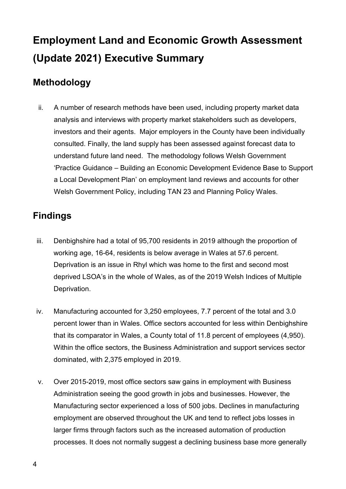#### <span id="page-3-0"></span>**Methodology**

ii. A number of research methods have been used, including property market data analysis and interviews with property market stakeholders such as developers, investors and their agents. Major employers in the County have been individually consulted. Finally, the land supply has been assessed against forecast data to understand future land need. The methodology follows Welsh Government 'Practice Guidance – Building an Economic Development Evidence Base to Support a Local Development Plan' on employment land reviews and accounts for other Welsh Government Policy, including TAN 23 and Planning Policy Wales.

#### <span id="page-3-1"></span>**Findings**

- iii. Denbighshire had a total of 95,700 residents in 2019 although the proportion of working age, 16-64, residents is below average in Wales at 57.6 percent. Deprivation is an issue in Rhyl which was home to the first and second most deprived LSOA's in the whole of Wales, as of the 2019 Welsh Indices of Multiple Deprivation.
- iv. Manufacturing accounted for 3,250 employees, 7.7 percent of the total and 3.0 percent lower than in Wales. Office sectors accounted for less within Denbighshire that its comparator in Wales, a County total of 11.8 percent of employees (4,950). Within the office sectors, the Business Administration and support services sector dominated, with 2,375 employed in 2019.
- v. Over 2015-2019, most office sectors saw gains in employment with Business Administration seeing the good growth in jobs and businesses. However, the Manufacturing sector experienced a loss of 500 jobs. Declines in manufacturing employment are observed throughout the UK and tend to reflect jobs losses in larger firms through factors such as the increased automation of production processes. It does not normally suggest a declining business base more generally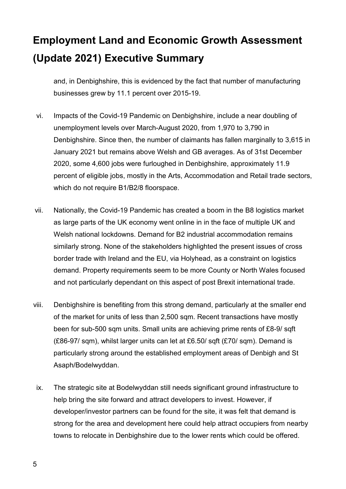and, in Denbighshire, this is evidenced by the fact that number of manufacturing businesses grew by 11.1 percent over 2015-19.

- vi. Impacts of the Covid-19 Pandemic on Denbighshire, include a near doubling of unemployment levels over March-August 2020, from 1,970 to 3,790 in Denbighshire. Since then, the number of claimants has fallen marginally to 3,615 in January 2021 but remains above Welsh and GB averages. As of 31st December 2020, some 4,600 jobs were furloughed in Denbighshire, approximately 11.9 percent of eligible jobs, mostly in the Arts, Accommodation and Retail trade sectors, which do not require B1/B2/8 floorspace.
- vii. Nationally, the Covid-19 Pandemic has created a boom in the B8 logistics market as large parts of the UK economy went online in in the face of multiple UK and Welsh national lockdowns. Demand for B2 industrial accommodation remains similarly strong. None of the stakeholders highlighted the present issues of cross border trade with Ireland and the EU, via Holyhead, as a constraint on logistics demand. Property requirements seem to be more County or North Wales focused and not particularly dependant on this aspect of post Brexit international trade.
- viii. Denbighshire is benefiting from this strong demand, particularly at the smaller end of the market for units of less than 2,500 sqm. Recent transactions have mostly been for sub-500 sqm units. Small units are achieving prime rents of £8-9/ sqft (£86-97/ sqm), whilst larger units can let at £6.50/ sqft (£70/ sqm). Demand is particularly strong around the established employment areas of Denbigh and St Asaph/Bodelwyddan.
- ix. The strategic site at Bodelwyddan still needs significant ground infrastructure to help bring the site forward and attract developers to invest. However, if developer/investor partners can be found for the site, it was felt that demand is strong for the area and development here could help attract occupiers from nearby towns to relocate in Denbighshire due to the lower rents which could be offered.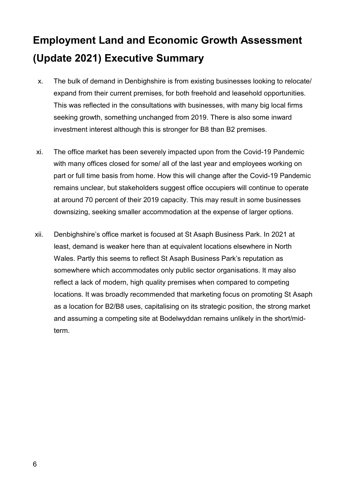- x. The bulk of demand in Denbighshire is from existing businesses looking to relocate/ expand from their current premises, for both freehold and leasehold opportunities. This was reflected in the consultations with businesses, with many big local firms seeking growth, something unchanged from 2019. There is also some inward investment interest although this is stronger for B8 than B2 premises.
- xi. The office market has been severely impacted upon from the Covid-19 Pandemic with many offices closed for some/ all of the last year and employees working on part or full time basis from home. How this will change after the Covid-19 Pandemic remains unclear, but stakeholders suggest office occupiers will continue to operate at around 70 percent of their 2019 capacity. This may result in some businesses downsizing, seeking smaller accommodation at the expense of larger options.
- xii. Denbighshire's office market is focused at St Asaph Business Park. In 2021 at least, demand is weaker here than at equivalent locations elsewhere in North Wales. Partly this seems to reflect St Asaph Business Park's reputation as somewhere which accommodates only public sector organisations. It may also reflect a lack of modern, high quality premises when compared to competing locations. It was broadly recommended that marketing focus on promoting St Asaph as a location for B2/B8 uses, capitalising on its strategic position, the strong market and assuming a competing site at Bodelwyddan remains unlikely in the short/midterm.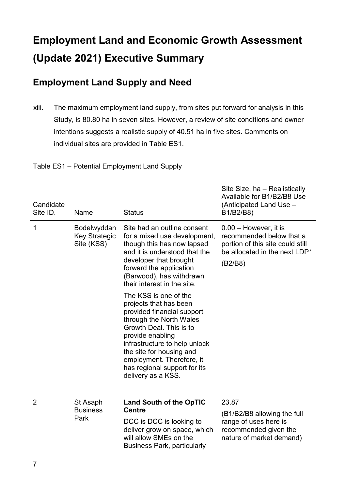#### <span id="page-6-0"></span>**Employment Land Supply and Need**

xiii. The maximum employment land supply, from sites put forward for analysis in this Study, is 80.80 ha in seven sites. However, a review of site conditions and owner intentions suggests a realistic supply of 40.51 ha in five sites. Comments on individual sites are provided in Table ES1.

Table ES1 – Potential Employment Land Supply

| Candidate<br>Site ID. | Name                                              | <b>Status</b>                                                                                                                                                                                                                                                                                           | Site Size, ha - Realistically<br>Available for B1/B2/B8 Use<br>(Anticipated Land Use -<br>B1/B2/B8)                                 |
|-----------------------|---------------------------------------------------|---------------------------------------------------------------------------------------------------------------------------------------------------------------------------------------------------------------------------------------------------------------------------------------------------------|-------------------------------------------------------------------------------------------------------------------------------------|
| 1                     | Bodelwyddan<br><b>Key Strategic</b><br>Site (KSS) | Site had an outline consent<br>for a mixed use development,<br>though this has now lapsed<br>and it is understood that the<br>developer that brought<br>forward the application<br>(Barwood), has withdrawn<br>their interest in the site.                                                              | $0.00 -$ However, it is<br>recommended below that a<br>portion of this site could still<br>be allocated in the next LDP*<br>(B2/B8) |
|                       |                                                   | The KSS is one of the<br>projects that has been<br>provided financial support<br>through the North Wales<br>Growth Deal. This is to<br>provide enabling<br>infrastructure to help unlock<br>the site for housing and<br>employment. Therefore, it<br>has regional support for its<br>delivery as a KSS. |                                                                                                                                     |
| 2                     | St Asaph<br><b>Business</b><br>Park               | <b>Land South of the OpTIC</b><br><b>Centre</b><br>DCC is DCC is looking to<br>deliver grow on space, which<br>will allow SMEs on the<br><b>Business Park, particularly</b>                                                                                                                             | 23.87<br>(B1/B2/B8 allowing the full<br>range of uses here is<br>recommended given the<br>nature of market demand)                  |

 $\overline{a}$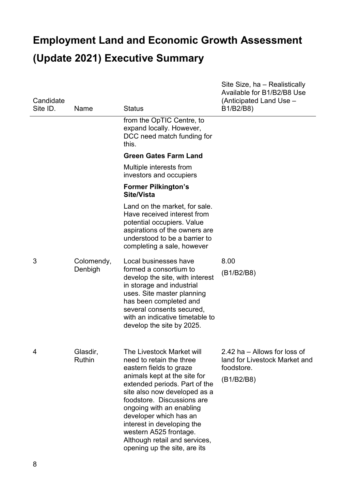| Candidate<br>Site ID. | Name                      | <b>Status</b>                                                                                                                                                                                                                                                                                                                                                                                  | Site Size, ha - Realistically<br>Available for B1/B2/B8 Use<br>(Anticipated Land Use -<br>B1/B2/B8) |
|-----------------------|---------------------------|------------------------------------------------------------------------------------------------------------------------------------------------------------------------------------------------------------------------------------------------------------------------------------------------------------------------------------------------------------------------------------------------|-----------------------------------------------------------------------------------------------------|
|                       |                           | from the OpTIC Centre, to<br>expand locally. However,<br>DCC need match funding for<br>this.                                                                                                                                                                                                                                                                                                   |                                                                                                     |
|                       |                           | <b>Green Gates Farm Land</b>                                                                                                                                                                                                                                                                                                                                                                   |                                                                                                     |
|                       |                           | Multiple interests from<br>investors and occupiers                                                                                                                                                                                                                                                                                                                                             |                                                                                                     |
|                       |                           | <b>Former Pilkington's</b><br><b>Site/Vista</b>                                                                                                                                                                                                                                                                                                                                                |                                                                                                     |
|                       |                           | Land on the market, for sale.<br>Have received interest from<br>potential occupiers. Value<br>aspirations of the owners are<br>understood to be a barrier to<br>completing a sale, however                                                                                                                                                                                                     |                                                                                                     |
| 3                     | Colomendy,<br>Denbigh     | Local businesses have<br>formed a consortium to<br>develop the site, with interest<br>in storage and industrial<br>uses. Site master planning<br>has been completed and<br>several consents secured,<br>with an indicative timetable to<br>develop the site by 2025.                                                                                                                           | 8.00<br>(B1/B2/B8)                                                                                  |
| 4                     | Glasdir,<br><b>Ruthin</b> | The Livestock Market will<br>need to retain the three<br>eastern fields to graze<br>animals kept at the site for<br>extended periods. Part of the<br>site also now developed as a<br>foodstore. Discussions are<br>ongoing with an enabling<br>developer which has an<br>interest in developing the<br>western A525 frontage.<br>Although retail and services,<br>opening up the site, are its | 2.42 ha - Allows for loss of<br>land for Livestock Market and<br>foodstore.<br>(B1/B2/B8)           |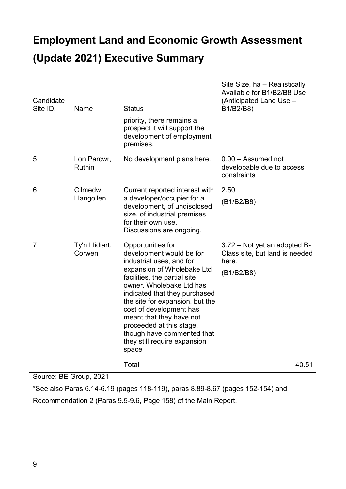| Candidate<br>Site ID. | Name                         | <b>Status</b>                                                                                                                                                                                                                                                                                                                                                                                     | Site Size, ha – Realistically<br>Available for B1/B2/B8 Use<br>(Anticipated Land Use -<br>B1/B2/B8) |
|-----------------------|------------------------------|---------------------------------------------------------------------------------------------------------------------------------------------------------------------------------------------------------------------------------------------------------------------------------------------------------------------------------------------------------------------------------------------------|-----------------------------------------------------------------------------------------------------|
|                       |                              | priority, there remains a<br>prospect it will support the<br>development of employment<br>premises.                                                                                                                                                                                                                                                                                               |                                                                                                     |
| 5                     | Lon Parcwr,<br><b>Ruthin</b> | No development plans here.                                                                                                                                                                                                                                                                                                                                                                        | $0.00 -$ Assumed not<br>developable due to access<br>constraints                                    |
| 6                     | Cilmedw,<br>Llangollen       | Current reported interest with<br>a developer/occupier for a<br>development, of undisclosed<br>size, of industrial premises<br>for their own use.<br>Discussions are ongoing.                                                                                                                                                                                                                     | 2.50<br>(B1/B2/B8)                                                                                  |
| $\overline{7}$        | Ty'n Llidiart,<br>Corwen     | Opportunities for<br>development would be for<br>industrial uses, and for<br>expansion of Wholebake Ltd<br>facilities, the partial site<br>owner. Wholebake Ltd has<br>indicated that they purchased<br>the site for expansion, but the<br>cost of development has<br>meant that they have not<br>proceeded at this stage,<br>though have commented that<br>they still require expansion<br>space | 3.72 – Not yet an adopted B-<br>Class site, but land is needed<br>here.<br>(B1/B2/B8)               |
|                       |                              | Total                                                                                                                                                                                                                                                                                                                                                                                             | 40.51                                                                                               |

Source: BE Group, 2021

\*See also Paras 6.14-6.19 (pages 118-119), paras 8.89-8.67 (pages 152-154) and

Recommendation 2 (Paras 9.5-9.6, Page 158) of the Main Report.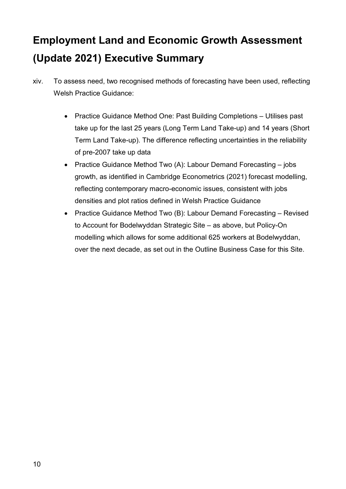- xiv. To assess need, two recognised methods of forecasting have been used, reflecting Welsh Practice Guidance:
	- Practice Guidance Method One: Past Building Completions Utilises past take up for the last 25 years (Long Term Land Take-up) and 14 years (Short Term Land Take-up). The difference reflecting uncertainties in the reliability of pre-2007 take up data
	- Practice Guidance Method Two (A): Labour Demand Forecasting jobs growth, as identified in Cambridge Econometrics (2021) forecast modelling, reflecting contemporary macro-economic issues, consistent with jobs densities and plot ratios defined in Welsh Practice Guidance
	- Practice Guidance Method Two (B): Labour Demand Forecasting Revised to Account for Bodelwyddan Strategic Site – as above, but Policy-On modelling which allows for some additional 625 workers at Bodelwyddan, over the next decade, as set out in the Outline Business Case for this Site.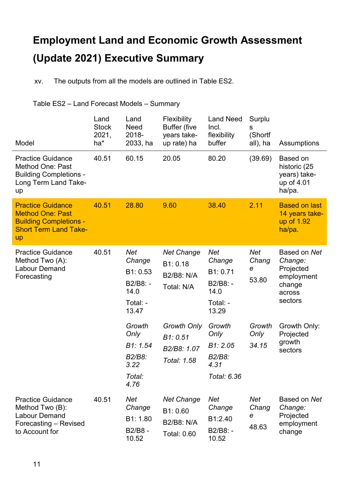xv. The outputs from all the models are outlined in Table ES2.

#### Table ES2 – Land Forecast Models – Summary

| Model                                                                                                                      | Land<br><b>Stock</b><br>2021,<br>ha* | Land<br><b>Need</b><br>2018-<br>2033, ha                                  | Flexibility<br><b>Buffer (five</b><br>years take-<br>up rate) ha  | <b>Land Need</b><br>Incl.<br>flexibility<br>buffer                        | Surplu<br>S<br>(Shortf<br>all), ha | Assumptions                                                                       |
|----------------------------------------------------------------------------------------------------------------------------|--------------------------------------|---------------------------------------------------------------------------|-------------------------------------------------------------------|---------------------------------------------------------------------------|------------------------------------|-----------------------------------------------------------------------------------|
| <b>Practice Guidance</b><br><b>Method One: Past</b><br><b>Building Completions -</b><br>Long Term Land Take-<br>up         | 40.51                                | 60.15                                                                     | 20.05                                                             | 80.20                                                                     | (39.69)                            | Based on<br>historic (25<br>years) take-<br>up of 4.01<br>ha/pa.                  |
| <b>Practice Guidance</b><br><b>Method One: Past</b><br><b>Building Completions -</b><br><b>Short Term Land Take-</b><br>up | 40.51                                | 28.80                                                                     | 9.60                                                              | 38.40                                                                     | 2.11                               | <b>Based on last</b><br>14 years take-<br>up of 1.92<br>ha/pa.                    |
| <b>Practice Guidance</b><br>Method Two (A):<br><b>Labour Demand</b><br>Forecasting                                         | 40.51                                | <b>Net</b><br>Change<br>B1: 0.53<br>B2/B8: -<br>14.0<br>Total: -<br>13.47 | <b>Net Change</b><br>B1: 0.18<br>B2/B8: N/A<br>Total: N/A         | <b>Net</b><br>Change<br>B1: 0.71<br>B2/B8: -<br>14.0<br>Total: -<br>13.29 | <b>Net</b><br>Chang<br>е<br>53.80  | Based on Net<br>Change:<br>Projected<br>employment<br>change<br>across<br>sectors |
|                                                                                                                            |                                      | Growth<br>Only<br>B1: 1.54<br>B2/B8:<br>3.22<br>Total:<br>4.76            | <b>Growth Only</b><br>B1: 0.51<br>B2/B8: 1.07<br>Total: 1.58      | Growth<br>Only<br>B1: 2.05<br>B2/B8:<br>4.31<br>Total: 6.36               | Growth<br>Only<br>34.15            | Growth Only:<br>Projected<br>growth<br>sectors                                    |
| <b>Practice Guidance</b><br>Method Two (B):<br><b>Labour Demand</b><br>Forecasting - Revised<br>to Account for             | 40.51                                | <b>Net</b><br>Change<br>B1: 1.80<br>B2/B8 -<br>10.52                      | <b>Net Change</b><br>B1: 0.60<br>B2/B8: N/A<br><b>Total: 0.60</b> | Net<br>Change<br>B1:2.40<br>B2/B8: -<br>10.52                             | <b>Net</b><br>Chang<br>е<br>48.63  | Based on Net<br>Change:<br>Projected<br>employment<br>change                      |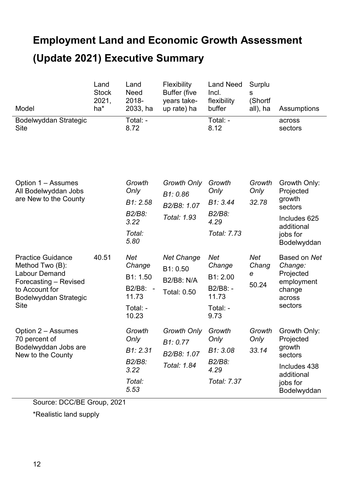| Model                                                                                                                                                  | Land<br><b>Stock</b><br>2021,<br>ha* | Land<br><b>Need</b><br>2018-<br>2033, ha                                   | Flexibility<br><b>Buffer (five</b><br>years take-<br>up rate) ha         | <b>Land Need</b><br>Incl.<br>flexibility<br>buffer                        | Surplu<br>s<br>(Shortf<br>all), ha | Assumptions                                                                                             |
|--------------------------------------------------------------------------------------------------------------------------------------------------------|--------------------------------------|----------------------------------------------------------------------------|--------------------------------------------------------------------------|---------------------------------------------------------------------------|------------------------------------|---------------------------------------------------------------------------------------------------------|
| Bodelwyddan Strategic<br><b>Site</b>                                                                                                                   |                                      | Total: -<br>8.72                                                           |                                                                          | Total: -<br>8.12                                                          |                                    | across<br>sectors                                                                                       |
| Option 1 – Assumes<br>All Bodelwyddan Jobs<br>are New to the County                                                                                    |                                      | Growth<br>Only<br>B1: 2.58                                                 | <b>Growth Only</b><br>B1:0.86<br>B2/B8: 1.07                             | Growth<br>Only<br>B1: 3.44                                                | Growth<br>Only<br>32.78            | Growth Only:<br>Projected<br>growth<br>sectors                                                          |
|                                                                                                                                                        |                                      | B2/B8:<br>3.22<br>Total:<br>5.80                                           | Total: 1.93                                                              | B2/B8:<br>4.29<br>Total: 7.73                                             |                                    | Includes 625<br>additional<br>jobs for<br>Bodelwyddan                                                   |
| <b>Practice Guidance</b><br>Method Two (B):<br><b>Labour Demand</b><br>Forecasting - Revised<br>to Account for<br>Bodelwyddan Strategic<br><b>Site</b> | 40.51                                | <b>Net</b><br>Change<br>B1: 1.50<br>B2/B8: -<br>11.73<br>Total: -<br>10.23 | <b>Net Change</b><br>B1: 0.50<br><b>B2/B8: N/A</b><br><b>Total: 0.50</b> | <b>Net</b><br>Change<br>B1: 2.00<br>B2/B8: -<br>11.73<br>Total: -<br>9.73 | <b>Net</b><br>Chang<br>е<br>50.24  | Based on Net<br>Change:<br>Projected<br>employment<br>change<br>across<br>sectors                       |
| Option 2 – Assumes<br>70 percent of<br>Bodelwyddan Jobs are<br>New to the County                                                                       |                                      | Growth<br>Only<br>B1: 2.31<br>B2/B8:<br>3.22<br>Total:<br>5.53             | <b>Growth Only</b><br>B1: 0.77<br>B2/B8: 1.07<br>Total: 1.84             | Growth<br>Only<br>B1: 3.08<br>B2/B8:<br>4.29<br>Total: 7.37               | Growth<br>Only<br>33.14            | Growth Only:<br>Projected<br>growth<br>sectors<br>Includes 438<br>additional<br>jobs for<br>Bodelwyddan |

Source: DCC/BE Group, 2021

\*Realistic land supply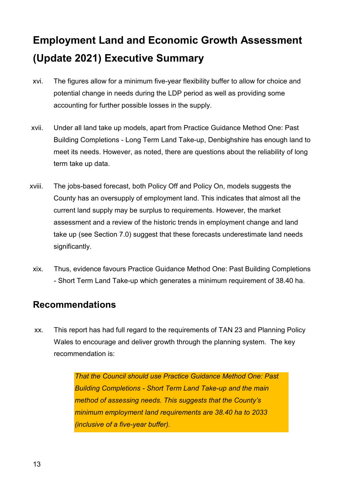- xvi. The figures allow for a minimum five-year flexibility buffer to allow for choice and potential change in needs during the LDP period as well as providing some accounting for further possible losses in the supply.
- xvii. Under all land take up models, apart from Practice Guidance Method One: Past Building Completions - Long Term Land Take-up, Denbighshire has enough land to meet its needs. However, as noted, there are questions about the reliability of long term take up data.
- xviii. The jobs-based forecast, both Policy Off and Policy On, models suggests the County has an oversupply of employment land. This indicates that almost all the current land supply may be surplus to requirements. However, the market assessment and a review of the historic trends in employment change and land take up (see Section 7.0) suggest that these forecasts underestimate land needs significantly.
- xix. Thus, evidence favours Practice Guidance Method One: Past Building Completions - Short Term Land Take-up which generates a minimum requirement of 38.40 ha.

#### <span id="page-12-0"></span>**Recommendations**

xx. This report has had full regard to the requirements of TAN 23 and Planning Policy Wales to encourage and deliver growth through the planning system. The key recommendation is:

> *That the Council should use Practice Guidance Method One: Past Building Completions - Short Term Land Take-up and the main method of assessing needs. This suggests that the County's minimum employment land requirements are 38.40 ha to 2033 (inclusive of a five-year buffer).*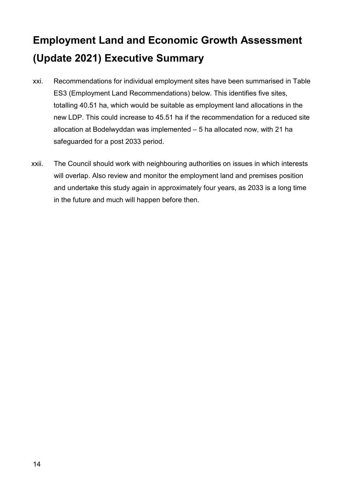- xxi. Recommendations for individual employment sites have been summarised in Table ES3 (Employment Land Recommendations) below. This identifies five sites, totalling 40.51 ha, which would be suitable as employment land allocations in the new LDP. This could increase to 45.51 ha if the recommendation for a reduced site allocation at Bodelwyddan was implemented – 5 ha allocated now, with 21 ha safeguarded for a post 2033 period.
- xxii. The Council should work with neighbouring authorities on issues in which interests will overlap. Also review and monitor the employment land and premises position and undertake this study again in approximately four years, as 2033 is a long time in the future and much will happen before then.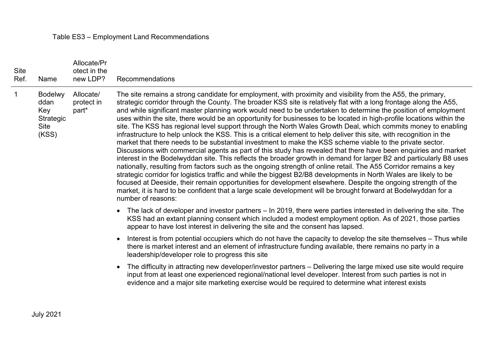#### Table ES3 – Employment Land Recommendations

| <b>Site</b><br>Ref. | Name                                                        | Allocate/Pr<br>otect in the<br>new LDP? | Recommendations                                                                                                                                                                                                                                                                                                                                                                                                                                                                                                                                                                                                                                                                                                                                                                                                                                                                                                                                                                                                                                                                                                                                                                                                                                                                                                                                                                                                                                                                                                                                                                 |
|---------------------|-------------------------------------------------------------|-----------------------------------------|---------------------------------------------------------------------------------------------------------------------------------------------------------------------------------------------------------------------------------------------------------------------------------------------------------------------------------------------------------------------------------------------------------------------------------------------------------------------------------------------------------------------------------------------------------------------------------------------------------------------------------------------------------------------------------------------------------------------------------------------------------------------------------------------------------------------------------------------------------------------------------------------------------------------------------------------------------------------------------------------------------------------------------------------------------------------------------------------------------------------------------------------------------------------------------------------------------------------------------------------------------------------------------------------------------------------------------------------------------------------------------------------------------------------------------------------------------------------------------------------------------------------------------------------------------------------------------|
| $\mathbf 1$         | <b>Bodelwy</b><br>ddan<br>Key<br>Strategic<br>Site<br>(KSS) | Allocate/<br>protect in<br>part*        | The site remains a strong candidate for employment, with proximity and visibility from the A55, the primary,<br>strategic corridor through the County. The broader KSS site is relatively flat with a long frontage along the A55,<br>and while significant master planning work would need to be undertaken to determine the position of employment<br>uses within the site, there would be an opportunity for businesses to be located in high-profile locations within the<br>site. The KSS has regional level support through the North Wales Growth Deal, which commits money to enabling<br>infrastructure to help unlock the KSS. This is a critical element to help deliver this site, with recognition in the<br>market that there needs to be substantial investment to make the KSS scheme viable to the private sector.<br>Discussions with commercial agents as part of this study has revealed that there have been enquiries and market<br>interest in the Bodelwyddan site. This reflects the broader growth in demand for larger B2 and particularly B8 uses<br>nationally, resulting from factors such as the ongoing strength of online retail. The A55 Corridor remains a key<br>strategic corridor for logistics traffic and while the biggest B2/B8 developments in North Wales are likely to be<br>focused at Deeside, their remain opportunities for development elsewhere. Despite the ongoing strength of the<br>market, it is hard to be confident that a large scale development will be brought forward at Bodelwyddan for a<br>number of reasons: |
|                     |                                                             |                                         | • The lack of developer and investor partners – In 2019, there were parties interested in delivering the site. The<br>KSS had an extant planning consent which included a modest employment option. As of 2021, those parties<br>appear to have lost interest in delivering the site and the consent has lapsed.                                                                                                                                                                                                                                                                                                                                                                                                                                                                                                                                                                                                                                                                                                                                                                                                                                                                                                                                                                                                                                                                                                                                                                                                                                                                |
|                     |                                                             |                                         | Interest is from potential occupiers which do not have the capacity to develop the site themselves - Thus while<br>$\bullet$<br>there is market interest and an element of infrastructure funding available, there remains no party in a<br>leadership/developer role to progress this site                                                                                                                                                                                                                                                                                                                                                                                                                                                                                                                                                                                                                                                                                                                                                                                                                                                                                                                                                                                                                                                                                                                                                                                                                                                                                     |
|                     |                                                             |                                         | The difficulty in attracting new developer/investor partners – Delivering the large mixed use site would require<br>$\bullet$<br>input from at least one experienced regional/national level developer. Interest from such parties is not in<br>evidence and a major site marketing exercise would be required to determine what interest exists                                                                                                                                                                                                                                                                                                                                                                                                                                                                                                                                                                                                                                                                                                                                                                                                                                                                                                                                                                                                                                                                                                                                                                                                                                |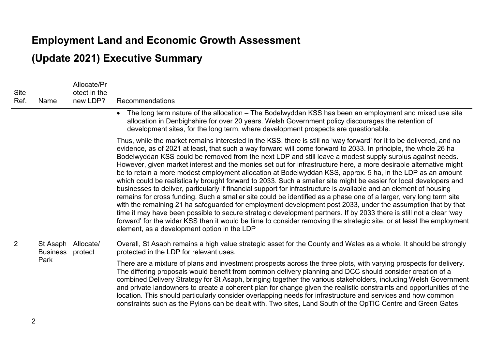### **Employment Land and Economic Growth Assessment**

#### **(Update 2021) Executive Summary**

| Site<br>Ref. | Name                                | Allocate/Pr<br>otect in the<br>new LDP? | Recommendations                                                                                                                                                                                                                                                                                                                                                                                                                                                                                                                                                                                                                                                                                                                                                                                                                                                                                                                                                                                                                                                                                                                                                                                                                                                                                                                                                         |
|--------------|-------------------------------------|-----------------------------------------|-------------------------------------------------------------------------------------------------------------------------------------------------------------------------------------------------------------------------------------------------------------------------------------------------------------------------------------------------------------------------------------------------------------------------------------------------------------------------------------------------------------------------------------------------------------------------------------------------------------------------------------------------------------------------------------------------------------------------------------------------------------------------------------------------------------------------------------------------------------------------------------------------------------------------------------------------------------------------------------------------------------------------------------------------------------------------------------------------------------------------------------------------------------------------------------------------------------------------------------------------------------------------------------------------------------------------------------------------------------------------|
|              |                                     |                                         | The long term nature of the allocation – The Bodelwyddan KSS has been an employment and mixed use site<br>$\bullet$<br>allocation in Denbighshire for over 20 years. Welsh Government policy discourages the retention of<br>development sites, for the long term, where development prospects are questionable.                                                                                                                                                                                                                                                                                                                                                                                                                                                                                                                                                                                                                                                                                                                                                                                                                                                                                                                                                                                                                                                        |
|              |                                     |                                         | Thus, while the market remains interested in the KSS, there is still no 'way forward' for it to be delivered, and no<br>evidence, as of 2021 at least, that such a way forward will come forward to 2033. In principle, the whole 26 ha<br>Bodelwyddan KSS could be removed from the next LDP and still leave a modest supply surplus against needs.<br>However, given market interest and the monies set out for infrastructure here, a more desirable alternative might<br>be to retain a more modest employment allocation at Bodelwyddan KSS, approx. 5 ha, in the LDP as an amount<br>which could be realistically brought forward to 2033. Such a smaller site might be easier for local developers and<br>businesses to deliver, particularly if financial support for infrastructure is available and an element of housing<br>remains for cross funding. Such a smaller site could be identified as a phase one of a larger, very long term site<br>with the remaining 21 ha safeguarded for employment development post 2033, under the assumption that by that<br>time it may have been possible to secure strategic development partners. If by 2033 there is still not a clear 'way<br>forward' for the wider KSS then it would be time to consider removing the strategic site, or at least the employment<br>element, as a development option in the LDP |
| 2            | St Asaph<br><b>Business</b><br>Park | Allocate/<br>protect                    | Overall, St Asaph remains a high value strategic asset for the County and Wales as a whole. It should be strongly<br>protected in the LDP for relevant uses.                                                                                                                                                                                                                                                                                                                                                                                                                                                                                                                                                                                                                                                                                                                                                                                                                                                                                                                                                                                                                                                                                                                                                                                                            |
|              |                                     |                                         |                                                                                                                                                                                                                                                                                                                                                                                                                                                                                                                                                                                                                                                                                                                                                                                                                                                                                                                                                                                                                                                                                                                                                                                                                                                                                                                                                                         |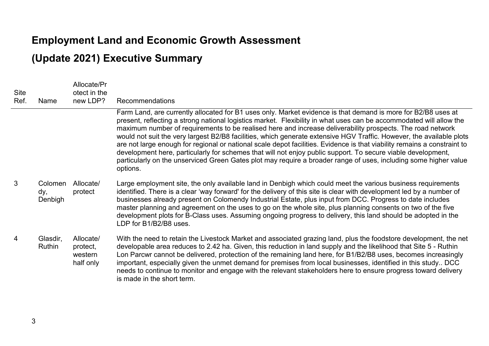#### **Employment Land and Economic Growth Assessment**

#### **(Update 2021) Executive Summary**

| <b>Site</b><br>Ref. | Name                      | Allocate/Pr<br>otect in the<br>new LDP?       | Recommendations                                                                                                                                                                                                                                                                                                                                                                                                                                                                                                                                                                                                                                                                                                                                                                                                                                        |
|---------------------|---------------------------|-----------------------------------------------|--------------------------------------------------------------------------------------------------------------------------------------------------------------------------------------------------------------------------------------------------------------------------------------------------------------------------------------------------------------------------------------------------------------------------------------------------------------------------------------------------------------------------------------------------------------------------------------------------------------------------------------------------------------------------------------------------------------------------------------------------------------------------------------------------------------------------------------------------------|
|                     |                           |                                               | Farm Land, are currently allocated for B1 uses only. Market evidence is that demand is more for B2/B8 uses at<br>present, reflecting a strong national logistics market. Flexibility in what uses can be accommodated will allow the<br>maximum number of requirements to be realised here and increase deliverability prospects. The road network<br>would not suit the very largest B2/B8 facilities, which generate extensive HGV Traffic. However, the available plots<br>are not large enough for regional or national scale depot facilities. Evidence is that viability remains a constraint to<br>development here, particularly for schemes that will not enjoy public support. To secure viable development,<br>particularly on the unserviced Green Gates plot may require a broader range of uses, including some higher value<br>options. |
| 3                   | Colomen<br>dy,<br>Denbigh | Allocate/<br>protect                          | Large employment site, the only available land in Denbigh which could meet the various business requirements<br>identified. There is a clear 'way forward' for the delivery of this site is clear with development led by a number of<br>businesses already present on Colomendy Industrial Estate, plus input from DCC. Progress to date includes<br>master planning and agreement on the uses to go on the whole site, plus planning consents on two of the five<br>development plots for B-Class uses. Assuming ongoing progress to delivery, this land should be adopted in the<br>LDP for B1/B2/B8 uses.                                                                                                                                                                                                                                          |
| 4                   | Glasdir,<br>Ruthin        | Allocate/<br>protect,<br>western<br>half only | With the need to retain the Livestock Market and associated grazing land, plus the foodstore development, the net<br>developable area reduces to 2.42 ha. Given, this reduction in land supply and the likelihood that Site 5 - Ruthin<br>Lon Parcwr cannot be delivered, protection of the remaining land here, for B1/B2/B8 uses, becomes increasingly<br>important, especially given the unmet demand for premises from local businesses, identified in this study DCC<br>needs to continue to monitor and engage with the relevant stakeholders here to ensure progress toward delivery<br>is made in the short term.                                                                                                                                                                                                                              |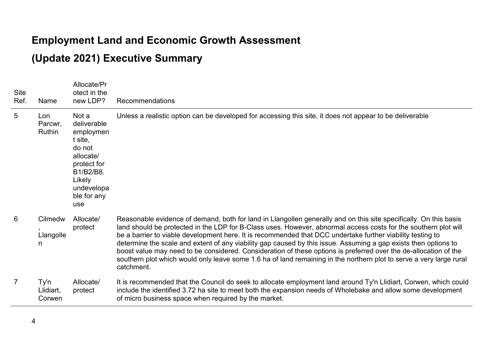#### **Employment Land and Economic Growth Assessment**

#### **(Update 2021) Executive Summary**

| <b>Site</b><br>Ref. | Name                        | Allocate/Pr<br>otect in the<br>new LDP?                                                                                                       | Recommendations                                                                                                                                                                                                                                                                                                                                                                                                                                                                                                                                                                                                                                                                                                                |
|---------------------|-----------------------------|-----------------------------------------------------------------------------------------------------------------------------------------------|--------------------------------------------------------------------------------------------------------------------------------------------------------------------------------------------------------------------------------------------------------------------------------------------------------------------------------------------------------------------------------------------------------------------------------------------------------------------------------------------------------------------------------------------------------------------------------------------------------------------------------------------------------------------------------------------------------------------------------|
| 5                   | Lon<br>Parcwr,<br>Ruthin    | Not a<br>deliverable<br>employmen<br>t site,<br>do not<br>allocate/<br>protect for<br>B1/B2/B8.<br>Likely<br>undevelopa<br>ble for any<br>use | Unless a realistic option can be developed for accessing this site, it does not appear to be deliverable                                                                                                                                                                                                                                                                                                                                                                                                                                                                                                                                                                                                                       |
| 6                   | Cilmedw<br>Llangolle<br>n   | Allocate/<br>protect                                                                                                                          | Reasonable evidence of demand, both for land in Llangollen generally and on this site specifically. On this basis<br>land should be protected in the LDP for B-Class uses. However, abnormal access costs for the southern plot will<br>be a barrier to viable development here. It is recommended that DCC undertake further viability testing to<br>determine the scale and extent of any viability gap caused by this issue. Assuming a gap exists then options to<br>boost value may need to be considered. Consideration of these options is preferred over the de-allocation of the<br>southern plot which would only leave some 1.6 ha of land remaining in the northern plot to serve a very large rural<br>catchment. |
| $\overline{7}$      | Ty'n<br>Llidiart,<br>Corwen | Allocate/<br>protect                                                                                                                          | It is recommended that the Council do seek to allocate employment land around Ty'n Llidiart, Corwen, which could<br>include the identified 3.72 ha site to meet both the expansion needs of Wholebake and allow some development<br>of micro business space when required by the market.                                                                                                                                                                                                                                                                                                                                                                                                                                       |